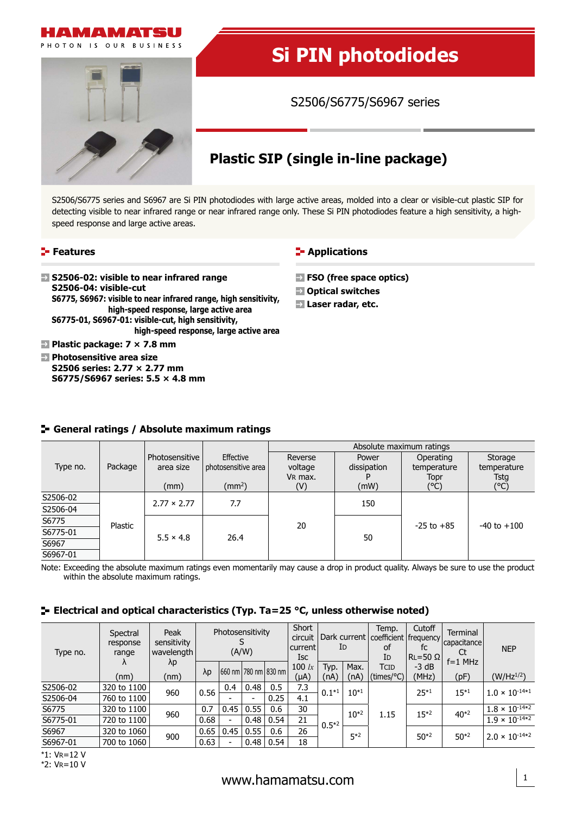

# **Si PIN photodiodes**

S2506/S6775/S6967 series

## **Plastic SIP (single in-line package)**

S2506/S6775 series and S6967 are Si PIN photodiodes with large active areas, molded into a clear or visible-cut plastic SIP for detecting visible to near infrared range or near infrared range only. These Si PIN photodiodes feature a high sensitivity, a highspeed response and large active areas.

#### **Features**

**S2506-02: visible to near infrared range S2506-04: visible-cut S6775, S6967: visible to near infrared range, high sensitivity, high-speed response, large active area S6775-01, S6967-01: visible-cut, high sensitivity, high-speed response, large active area Plastic package: 7 × 7.8 mm**

**Photosensitive area size S2506 series: 2.77 × 2.77 mm S6775/S6967 series: 5.5 × 4.8 mm**

#### **F**-Applications

- **FSO (free space optics)**
- **Optical switches**
- **Laser radar, etc.**

|          |                             |                             |                                  | Absolute maximum ratings      |                      |                                  |                                |  |  |
|----------|-----------------------------|-----------------------------|----------------------------------|-------------------------------|----------------------|----------------------------------|--------------------------------|--|--|
| Type no. | Package                     | Photosensitive<br>area size | Effective<br>photosensitive area | Reverse<br>voltage<br>VR max. | Power<br>dissipation | Operating<br>temperature<br>Topr | Storage<br>temperature<br>Tstg |  |  |
|          |                             | (mm)                        | $\text{m}^2$                     | (V)                           | (mW)                 | (°C)                             | (°C)                           |  |  |
| S2506-02 |                             | $2.77 \times 2.77$          | 7.7                              |                               | 150                  |                                  | $-40$ to $+100$                |  |  |
| S2506-04 |                             |                             |                                  |                               |                      | $-25$ to $+85$                   |                                |  |  |
| S6775    | Plastic<br>$5.5 \times 4.8$ |                             |                                  | 20                            |                      |                                  |                                |  |  |
| S6775-01 |                             | 26.4                        |                                  | 50                            |                      |                                  |                                |  |  |
| S6967    |                             |                             |                                  |                               |                      |                                  |                                |  |  |
| S6967-01 |                             |                             |                                  |                               |                      |                                  |                                |  |  |

### **General ratings / Absolute maximum ratings**

Note: Exceeding the absolute maximum ratings even momentarily may cause a drop in product quality. Always be sure to use the product within the absolute maximum ratings.

### **Electrical and optical characteristics (Typ. Ta=25 °C, unless otherwise noted)**

| Type no. | Spectral<br>response<br>range | Peak<br>sensitivity<br>wavelength | Photosensitivity<br>(A/W) |                          |                          | Short<br>circuit<br>  current<br>Isc | Dark current   coefficient   frequency  <br>ID |                | Temp.<br>οf<br>ΙD | Cutoff<br>fc<br>$ RL = 50 \Omega $ | Terminal<br>capacitance<br>Ct<br>$f=1$ MHz | <b>NEP</b> |                                |
|----------|-------------------------------|-----------------------------------|---------------------------|--------------------------|--------------------------|--------------------------------------|------------------------------------------------|----------------|-------------------|------------------------------------|--------------------------------------------|------------|--------------------------------|
|          | Λ<br>(nm)                     | λp<br>(nm)                        | $\lambda p$               |                          |                          | 1660 nm 1780 nm 1830 nm 1            | 100 $lx$<br>(µA)                               | Typ.<br>(nA)   | Max.<br>(nA)      | TCID<br>(times/°C)                 | $-3 dB$<br>(MHz)                           | (pF)       | $(W/Hz^{1/2})$                 |
| S2506-02 | 320 to 1100                   | 960                               | 0.56                      | 0.4                      | 0.48                     | 0.5                                  | 7.3                                            | $0.1*1$        | $10^{*1}$         |                                    | $25*1$                                     | $15*1$     |                                |
| S2506-04 | 760 to 1100                   |                                   |                           |                          | $\overline{\phantom{0}}$ | 0.25                                 | 4.1                                            |                |                   |                                    |                                            |            | $1.0 \times 10^{-14*1}$        |
| S6775    | 320 to 1100                   | 960                               | 0.7                       | 0.45                     | 0.55                     | 0.6                                  | 30                                             | 21<br>$0.5*^2$ | $10^{*2}$         | 1.15                               | $15*2$                                     | $40*2$     | $1.8 \times 10^{-14 \times 2}$ |
| S6775-01 | 720 to 1100                   |                                   | 0.68                      | $\overline{\phantom{a}}$ | 0.48                     | 0.54                                 |                                                |                |                   |                                    |                                            |            | $1.9 \times 10^{-14 \times 2}$ |
| S6967    | 320 to 1060                   | 900                               | 0.65                      | 0.45                     | 0.55                     | 0.6                                  | 26                                             |                | $5*2$             |                                    | $50*2$                                     | $50*2$     | $2.0 \times 10^{-14*2}$        |
| S6967-01 | 700 to 1060                   |                                   | 0.63                      | $\overline{\phantom{a}}$ | 0.48                     | 0.54                                 | 18                                             |                |                   |                                    |                                            |            |                                |

\*1: VR=12 V

\*2: VR=10 V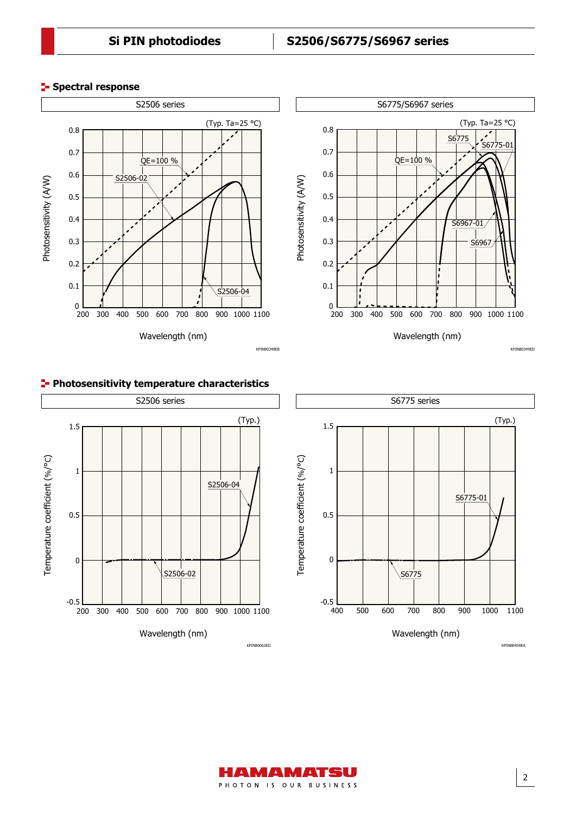(Typ. Ta=25 °C)

S6775-01

S677

S<sub>6967</sub>

KPINB0349ED

S6967-01

#### **Spectral response**



#### **Photosensitivity temperature characteristics**





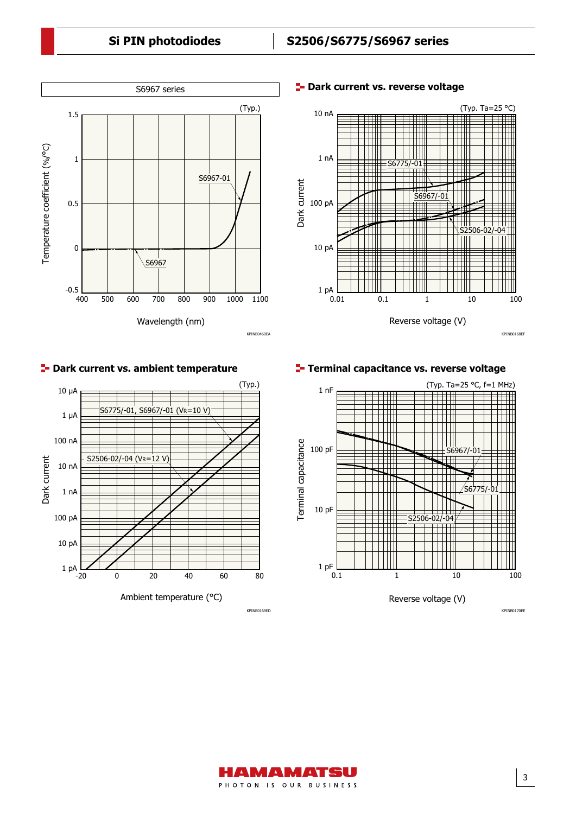### **Si PIN photodiodes S2506/S6775/S6967 series**



**E-** Dark current vs. reverse voltage



#### **Park current vs. ambient temperature**



**Terminal capacitance vs. reverse voltage**



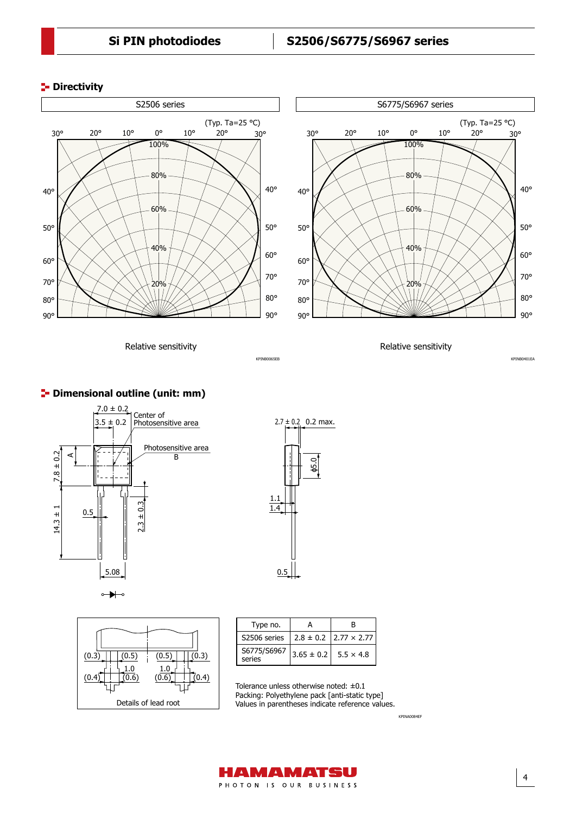#### **P**-Directivity



KPINE

Relative sensitivity

Relative sensitivity

#### **<sup>1</sup>** Dimensional outline (unit: mm)







| Type no.              |                | R                                  |
|-----------------------|----------------|------------------------------------|
| S2506 series          |                | $2.8 \pm 0.2$   2.77 $\times$ 2.77 |
| S6775/S6967<br>series | $3.65 \pm 0.2$ | $5.5 \times 4.8$                   |

Tolerance unless otherwise noted: ±0.1 Packing: Polyethylene pack [anti-static type] Values in parentheses indicate reference values.

KPINA0084EF



90° 80°

KPINB0401EA

70°

60°

50°

40°

30°